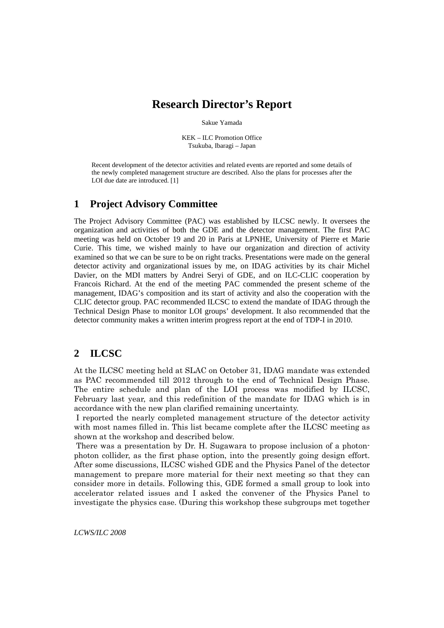# **Research Director's Report**

Sakue Yamada

KEK – ILC Promotion Office Tsukuba, Ibaragi – Japan

Recent development of the detector activities and related events are reported and some details of the newly completed management structure are described. Also the plans for processes after the LOI due date are introduced. [1]

### **1 Project Advisory Committee**

The Project Advisory Committee (PAC) was established by ILCSC newly. It oversees the organization and activities of both the GDE and the detector management. The first PAC meeting was held on October 19 and 20 in Paris at LPNHE, University of Pierre et Marie Curie. This time, we wished mainly to have our organization and direction of activity examined so that we can be sure to be on right tracks. Presentations were made on the general detector activity and organizational issues by me, on IDAG activities by its chair Michel Davier, on the MDI matters by Andrei Seryi of GDE, and on ILC-CLIC cooperation by Francois Richard. At the end of the meeting PAC commended the present scheme of the management, IDAG's composition and its start of activity and also the cooperation with the CLIC detector group. PAC recommended ILCSC to extend the mandate of IDAG through the Technical Design Phase to monitor LOI groups' development. It also recommended that the detector community makes a written interim progress report at the end of TDP-I in 2010.

## **2 ILCSC**

At the ILCSC meeting held at SLAC on October 31, IDAG mandate was extended as PAC recommended till 2012 through to the end of Technical Design Phase. The entire schedule and plan of the LOI process was modified by ILCSC, February last year, and this redefinition of the mandate for IDAG which is in accordance with the new plan clarified remaining uncertainty.

 I reported the nearly completed management structure of the detector activity with most names filled in. This list became complete after the ILCSC meeting as shown at the workshop and described below.

 There was a presentation by Dr. H. Sugawara to propose inclusion of a photonphoton collider, as the first phase option, into the presently going design effort. After some discussions, ILCSC wished GDE and the Physics Panel of the detector management to prepare more material for their next meeting so that they can consider more in details. Following this, GDE formed a small group to look into accelerator related issues and I asked the convener of the Physics Panel to investigate the physics case. (During this workshop these subgroups met together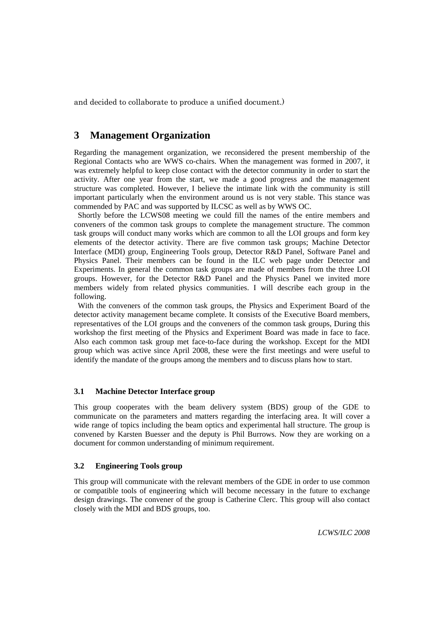and decided to collaborate to produce a unified document.)

### **3 Management Organization**

Regarding the management organization, we reconsidered the present membership of the Regional Contacts who are WWS co-chairs. When the management was formed in 2007, it was extremely helpful to keep close contact with the detector community in order to start the activity. After one year from the start, we made a good progress and the management structure was completed. However, I believe the intimate link with the community is still important particularly when the environment around us is not very stable. This stance was commended by PAC and was supported by ILCSC as well as by WWS OC.

Shortly before the LCWS08 meeting we could fill the names of the entire members and conveners of the common task groups to complete the management structure. The common task groups will conduct many works which are common to all the LOI groups and form key elements of the detector activity. There are five common task groups; Machine Detector Interface (MDI) group, Engineering Tools group, Detector R&D Panel, Software Panel and Physics Panel. Their members can be found in the ILC web page under Detector and Experiments. In general the common task groups are made of members from the three LOI groups. However, for the Detector R&D Panel and the Physics Panel we invited more members widely from related physics communities. I will describe each group in the following.

With the conveners of the common task groups, the Physics and Experiment Board of the detector activity management became complete. It consists of the Executive Board members, representatives of the LOI groups and the conveners of the common task groups, During this workshop the first meeting of the Physics and Experiment Board was made in face to face. Also each common task group met face-to-face during the workshop. Except for the MDI group which was active since April 2008, these were the first meetings and were useful to identify the mandate of the groups among the members and to discuss plans how to start.

#### **3.1 Machine Detector Interface group**

This group cooperates with the beam delivery system (BDS) group of the GDE to communicate on the parameters and matters regarding the interfacing area. It will cover a wide range of topics including the beam optics and experimental hall structure. The group is convened by Karsten Buesser and the deputy is Phil Burrows. Now they are working on a document for common understanding of minimum requirement.

#### **3.2 Engineering Tools group**

This group will communicate with the relevant members of the GDE in order to use common or compatible tools of engineering which will become necessary in the future to exchange design drawings. The convener of the group is Catherine Clerc. This group will also contact closely with the MDI and BDS groups, too.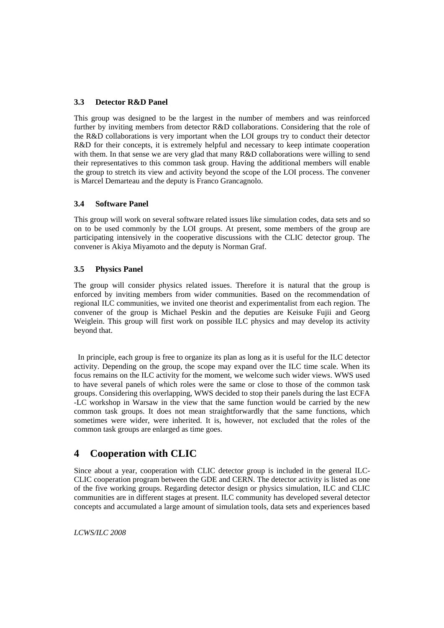#### **3.3 Detector R&D Panel**

This group was designed to be the largest in the number of members and was reinforced further by inviting members from detector R&D collaborations. Considering that the role of the R&D collaborations is very important when the LOI groups try to conduct their detector R&D for their concepts, it is extremely helpful and necessary to keep intimate cooperation with them. In that sense we are very glad that many  $R\&D$  collaborations were willing to send their representatives to this common task group. Having the additional members will enable the group to stretch its view and activity beyond the scope of the LOI process. The convener is Marcel Demarteau and the deputy is Franco Grancagnolo.

#### **3.4 Software Panel**

This group will work on several software related issues like simulation codes, data sets and so on to be used commonly by the LOI groups. At present, some members of the group are participating intensively in the cooperative discussions with the CLIC detector group. The convener is Akiya Miyamoto and the deputy is Norman Graf.

#### **3.5 Physics Panel**

The group will consider physics related issues. Therefore it is natural that the group is enforced by inviting members from wider communities. Based on the recommendation of regional ILC communities, we invited one theorist and experimentalist from each region. The convener of the group is Michael Peskin and the deputies are Keisuke Fujii and Georg Weiglein. This group will first work on possible ILC physics and may develop its activity beyond that.

In principle, each group is free to organize its plan as long as it is useful for the ILC detector activity. Depending on the group, the scope may expand over the ILC time scale. When its focus remains on the ILC activity for the moment, we welcome such wider views. WWS used to have several panels of which roles were the same or close to those of the common task groups. Considering this overlapping, WWS decided to stop their panels during the last ECFA -LC workshop in Warsaw in the view that the same function would be carried by the new common task groups. It does not mean straightforwardly that the same functions, which sometimes were wider, were inherited. It is, however, not excluded that the roles of the common task groups are enlarged as time goes.

## **4 Cooperation with CLIC**

Since about a year, cooperation with CLIC detector group is included in the general ILC-CLIC cooperation program between the GDE and CERN. The detector activity is listed as one of the five working groups. Regarding detector design or physics simulation, ILC and CLIC communities are in different stages at present. ILC community has developed several detector concepts and accumulated a large amount of simulation tools, data sets and experiences based